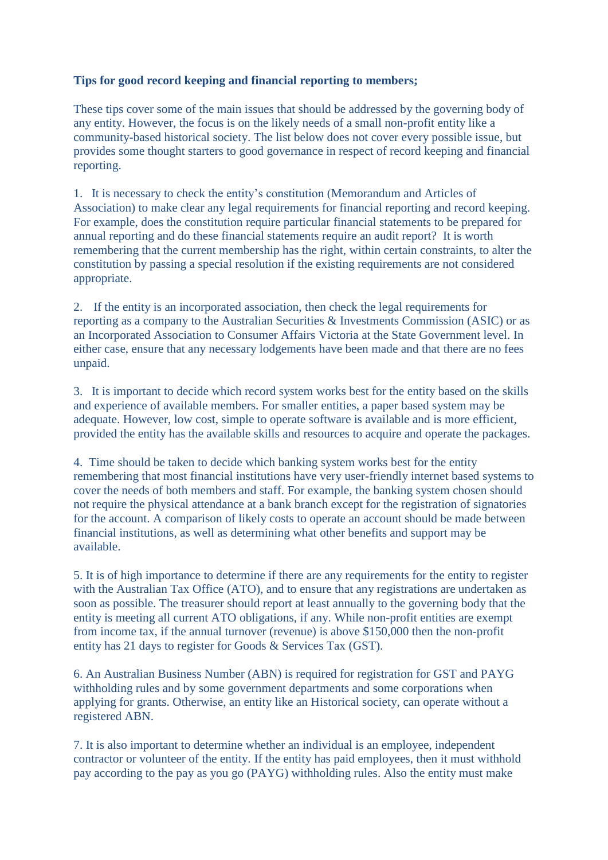## **Tips for good record keeping and financial reporting to members;**

These tips cover some of the main issues that should be addressed by the governing body of any entity. However, the focus is on the likely needs of a small non-profit entity like a community-based historical society. The list below does not cover every possible issue, but provides some thought starters to good governance in respect of record keeping and financial reporting.

1. It is necessary to check the entity's constitution (Memorandum and Articles of Association) to make clear any legal requirements for financial reporting and record keeping. For example, does the constitution require particular financial statements to be prepared for annual reporting and do these financial statements require an audit report? It is worth remembering that the current membership has the right, within certain constraints, to alter the constitution by passing a special resolution if the existing requirements are not considered appropriate.

2. If the entity is an incorporated association, then check the legal requirements for reporting as a company to the Australian Securities & Investments Commission (ASIC) or as an Incorporated Association to Consumer Affairs Victoria at the State Government level. In either case, ensure that any necessary lodgements have been made and that there are no fees unpaid.

3. It is important to decide which record system works best for the entity based on the skills and experience of available members. For smaller entities, a paper based system may be adequate. However, low cost, simple to operate software is available and is more efficient, provided the entity has the available skills and resources to acquire and operate the packages.

4. Time should be taken to decide which banking system works best for the entity remembering that most financial institutions have very user-friendly internet based systems to cover the needs of both members and staff. For example, the banking system chosen should not require the physical attendance at a bank branch except for the registration of signatories for the account. A comparison of likely costs to operate an account should be made between financial institutions, as well as determining what other benefits and support may be available.

5. It is of high importance to determine if there are any requirements for the entity to register with the Australian Tax Office (ATO), and to ensure that any registrations are undertaken as soon as possible. The treasurer should report at least annually to the governing body that the entity is meeting all current ATO obligations, if any. While non-profit entities are exempt from income tax, if the annual turnover (revenue) is above \$150,000 then the non-profit entity has 21 days to register for Goods & Services Tax (GST).

6. An Australian Business Number (ABN) is required for registration for GST and PAYG withholding rules and by some government departments and some corporations when applying for grants. Otherwise, an entity like an Historical society, can operate without a registered ABN.

7. It is also important to determine whether an individual is an employee, independent contractor or volunteer of the entity. If the entity has paid employees, then it must withhold pay according to the pay as you go (PAYG) withholding rules. Also the entity must make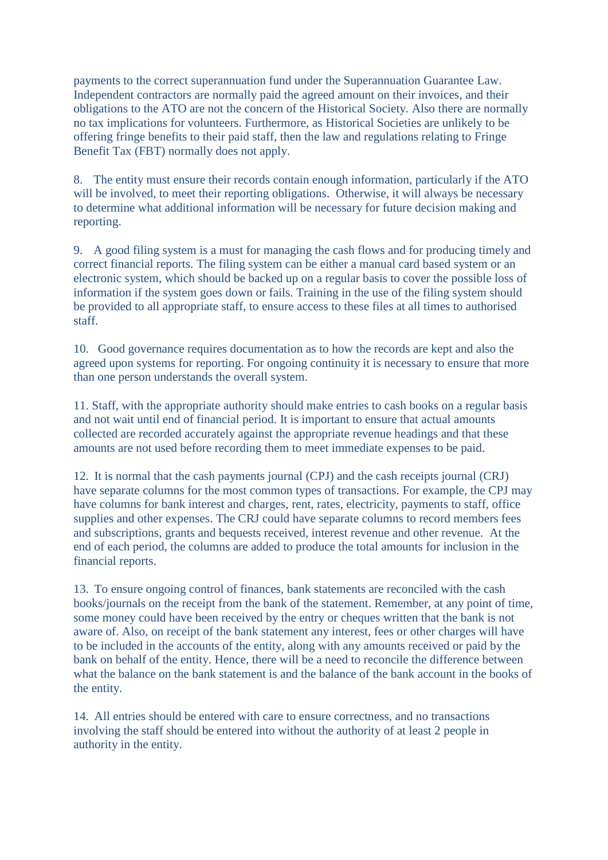payments to the correct superannuation fund under the Superannuation Guarantee Law. Independent contractors are normally paid the agreed amount on their invoices, and their obligations to the ATO are not the concern of the Historical Society. Also there are normally no tax implications for volunteers. Furthermore, as Historical Societies are unlikely to be offering fringe benefits to their paid staff, then the law and regulations relating to Fringe Benefit Tax (FBT) normally does not apply.

8. The entity must ensure their records contain enough information, particularly if the ATO will be involved, to meet their reporting obligations. Otherwise, it will always be necessary to determine what additional information will be necessary for future decision making and reporting.

9. A good filing system is a must for managing the cash flows and for producing timely and correct financial reports. The filing system can be either a manual card based system or an electronic system, which should be backed up on a regular basis to cover the possible loss of information if the system goes down or fails. Training in the use of the filing system should be provided to all appropriate staff, to ensure access to these files at all times to authorised staff.

10. Good governance requires documentation as to how the records are kept and also the agreed upon systems for reporting. For ongoing continuity it is necessary to ensure that more than one person understands the overall system.

11. Staff, with the appropriate authority should make entries to cash books on a regular basis and not wait until end of financial period. It is important to ensure that actual amounts collected are recorded accurately against the appropriate revenue headings and that these amounts are not used before recording them to meet immediate expenses to be paid.

12. It is normal that the cash payments journal (CPJ) and the cash receipts journal (CRJ) have separate columns for the most common types of transactions. For example, the CPJ may have columns for bank interest and charges, rent, rates, electricity, payments to staff, office supplies and other expenses. The CRJ could have separate columns to record members fees and subscriptions, grants and bequests received, interest revenue and other revenue. At the end of each period, the columns are added to produce the total amounts for inclusion in the financial reports.

13. To ensure ongoing control of finances, bank statements are reconciled with the cash books/journals on the receipt from the bank of the statement. Remember, at any point of time, some money could have been received by the entry or cheques written that the bank is not aware of. Also, on receipt of the bank statement any interest, fees or other charges will have to be included in the accounts of the entity, along with any amounts received or paid by the bank on behalf of the entity. Hence, there will be a need to reconcile the difference between what the balance on the bank statement is and the balance of the bank account in the books of the entity.

14. All entries should be entered with care to ensure correctness, and no transactions involving the staff should be entered into without the authority of at least 2 people in authority in the entity.